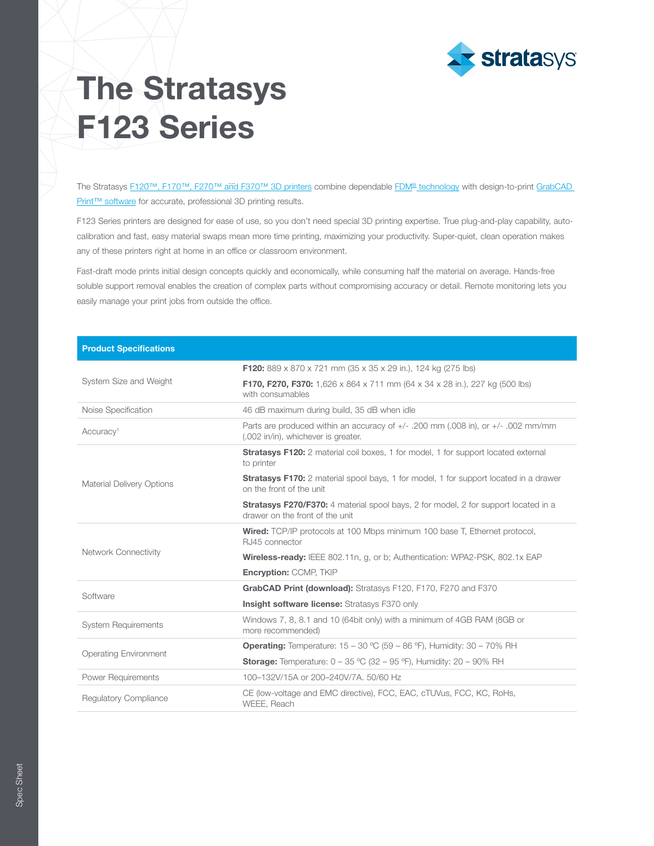

## The Stratasys F123 Series

The Stratasys [F120™, F170™, F270™ and F370™ 3D printers](https://www.stratasys.com/3d-printers/f123) combine dependable [FDM® technology](http://www.stratasys.com/fdm-technology?utm_source=spec-sheet&utm_medium=pdf&utm_content=f123-spec-sheet-link-2-fdm) with design-to-print GrabCAD [Print™ software](http://www.stratasys.com/software?utm_source=spec-sheet&utm_medium=pdf&utm_content=f123-spec-sheet-link-3-grabcad-print) for accurate, professional 3D printing results.

F123 Series printers are designed for ease of use, so you don't need special 3D printing expertise. True plug-and-play capability, autocalibration and fast, easy material swaps mean more time printing, maximizing your productivity. Super-quiet, clean operation makes any of these printers right at home in an office or classroom environment.

Fast-draft mode prints initial design concepts quickly and economically, while consuming half the material on average. Hands-free soluble support removal enables the creation of complex parts without compromising accuracy or detail. Remote monitoring lets you easily manage your print jobs from outside the office.

| <b>Product Specifications</b>    |                                                                                                                               |  |  |
|----------------------------------|-------------------------------------------------------------------------------------------------------------------------------|--|--|
|                                  | <b>F120:</b> 889 x 870 x 721 mm (35 x 35 x 29 in.), 124 kg (275 lbs)                                                          |  |  |
| System Size and Weight           | <b>F170, F270, F370:</b> 1,626 x 864 x 711 mm (64 x 34 x 28 in.), 227 kg (500 lbs)<br>with consumables                        |  |  |
| Noise Specification              | 46 dB maximum during build, 35 dB when idle                                                                                   |  |  |
| Accuracy <sup>1</sup>            | Parts are produced within an accuracy of $+/-$ .200 mm (.008 in), or $+/-$ .002 mm/mm<br>(.002 in/in), whichever is greater.  |  |  |
| <b>Material Delivery Options</b> | <b>Stratasys F120:</b> 2 material coil boxes, 1 for model, 1 for support located external<br>to printer                       |  |  |
|                                  | <b>Stratasys F170:</b> 2 material spool bays, 1 for model, 1 for support located in a drawer<br>on the front of the unit      |  |  |
|                                  | <b>Stratasys F270/F370:</b> 4 material spool bays, 2 for model, 2 for support located in a<br>drawer on the front of the unit |  |  |
| Network Connectivity             | <b>Wired:</b> TCP/IP protocols at 100 Mbps minimum 100 base T, Ethernet protocol,<br>RJ45 connector                           |  |  |
|                                  | <b>Wireless-ready:</b> IEEE 802.11n, g, or b; Authentication: WPA2-PSK, 802.1x EAP                                            |  |  |
|                                  | Encryption: CCMP, TKIP                                                                                                        |  |  |
| Software                         | GrabCAD Print (download): Stratasys F120, F170, F270 and F370                                                                 |  |  |
|                                  | <b>Insight software license:</b> Stratasys F370 only                                                                          |  |  |
| <b>System Requirements</b>       | Windows 7, 8, 8.1 and 10 (64bit only) with a minimum of 4GB RAM (8GB or<br>more recommended)                                  |  |  |
| <b>Operating Environment</b>     | <b>Operating:</b> Temperature: $15 - 30$ °C (59 - 86 °F), Humidity: $30 - 70\%$ RH                                            |  |  |
|                                  | <b>Storage:</b> Temperature: $0 - 35$ °C (32 – 95 °F), Humidity: 20 – 90% RH                                                  |  |  |
| <b>Power Requirements</b>        | 100-132V/15A or 200-240V/7A, 50/60 Hz                                                                                         |  |  |
| <b>Regulatory Compliance</b>     | CE (low-voltage and EMC directive), FCC, EAC, cTUVus, FCC, KC, RoHs,<br>WEEE, Reach                                           |  |  |